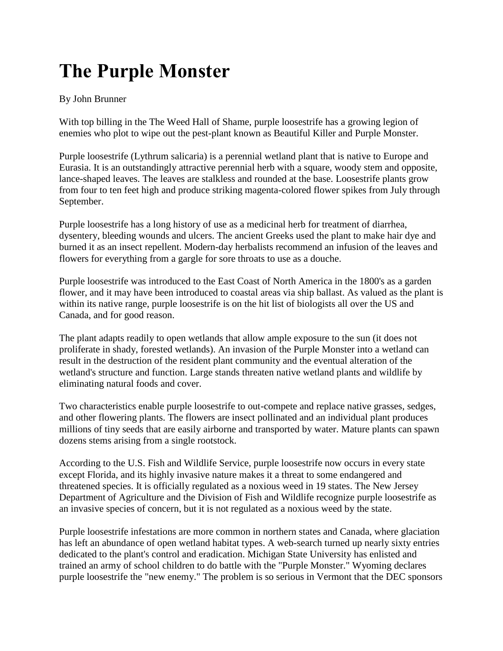## **The Purple Monster**

## By John Brunner

With top billing in the The Weed Hall of Shame, purple loosestrife has a growing legion of enemies who plot to wipe out the pest-plant known as Beautiful Killer and Purple Monster.

Purple loosestrife (Lythrum salicaria) is a perennial wetland plant that is native to Europe and Eurasia. It is an outstandingly attractive perennial herb with a square, woody stem and opposite, lance-shaped leaves. The leaves are stalkless and rounded at the base. Loosestrife plants grow from four to ten feet high and produce striking magenta-colored flower spikes from July through September.

Purple loosestrife has a long history of use as a medicinal herb for treatment of diarrhea, dysentery, bleeding wounds and ulcers. The ancient Greeks used the plant to make hair dye and burned it as an insect repellent. Modern-day herbalists recommend an infusion of the leaves and flowers for everything from a gargle for sore throats to use as a douche.

Purple loosestrife was introduced to the East Coast of North America in the 1800's as a garden flower, and it may have been introduced to coastal areas via ship ballast. As valued as the plant is within its native range, purple loosestrife is on the hit list of biologists all over the US and Canada, and for good reason.

The plant adapts readily to open wetlands that allow ample exposure to the sun (it does not proliferate in shady, forested wetlands). An invasion of the Purple Monster into a wetland can result in the destruction of the resident plant community and the eventual alteration of the wetland's structure and function. Large stands threaten native wetland plants and wildlife by eliminating natural foods and cover.

Two characteristics enable purple loosestrife to out-compete and replace native grasses, sedges, and other flowering plants. The flowers are insect pollinated and an individual plant produces millions of tiny seeds that are easily airborne and transported by water. Mature plants can spawn dozens stems arising from a single rootstock.

According to the U.S. Fish and Wildlife Service, purple loosestrife now occurs in every state except Florida, and its highly invasive nature makes it a threat to some endangered and threatened species. It is officially regulated as a noxious weed in 19 states. The New Jersey Department of Agriculture and the Division of Fish and Wildlife recognize purple loosestrife as an invasive species of concern, but it is not regulated as a noxious weed by the state.

Purple loosestrife infestations are more common in northern states and Canada, where glaciation has left an abundance of open wetland habitat types. A web-search turned up nearly sixty entries dedicated to the plant's control and eradication. Michigan State University has enlisted and trained an army of school children to do battle with the "Purple Monster." Wyoming declares purple loosestrife the "new enemy." The problem is so serious in Vermont that the DEC sponsors